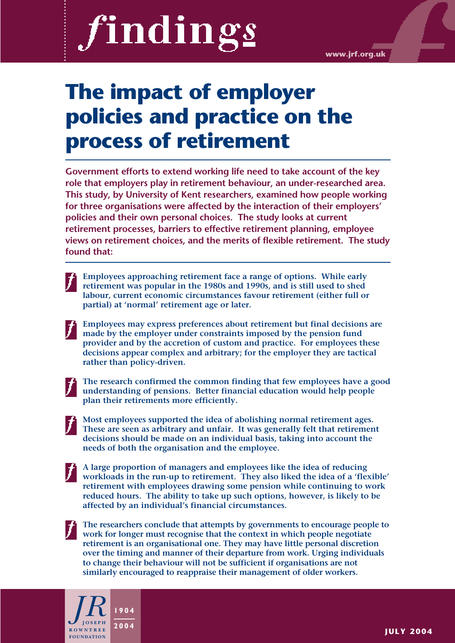# findings

**www.jrf.org.uk**

# **The impact of employer policies and practice on the process of retirement**

**Government efforts to extend working life need to take account of the key role that employers play in retirement behaviour, an under-researched area. This study, by University of Kent researchers, examined how people working for three organisations were affected by the interaction of their employers' policies and their own personal choices. The study looks at current retirement processes, barriers to effective retirement planning, employee views on retirement choices, and the merits of flexible retirement. The study found that:**

- **Employees approaching retirement face a range of options. While early retirement was popular in the 1980s and 1990s, and is still used to shed labour, current economic circumstances favour retirement (either full or partial) at 'normal' retirement age or later.**
- **Employees may express preferences about retirement but final decisions are made by the employer under constraints imposed by the pension fund provider and by the accretion of custom and practice. For employees these decisions appear complex and arbitrary; for the employer they are tactical rather than policy-driven.**
- 

**The research confirmed the common finding that few employees have a good understanding of pensions. Better financial education would help people plan their retirements more efficiently.**

- **Most employees supported the idea of abolishing normal retirement ages. These are seen as arbitrary and unfair. It was generally felt that retirement decisions should be made on an individual basis, taking into account the needs of both the organisation and the employee.**
- **A large proportion of managers and employees like the idea of reducing workloads in the run-up to retirement. They also liked the idea of a 'flexible' retirement with employees drawing some pension while continuing to work reduced hours. The ability to take up such options, however, is likely to be affected by an individual's financial circumstances.**
- **The researchers conclude that attempts by governments to encourage people to work for longer must recognise that the context in which people negotiate retirement is an organisational one. They may have little personal discretion over the timing and manner of their departure from work. Urging individuals to change their behaviour will not be sufficient if organisations are not similarly encouraged to reappraise their management of older workers.**

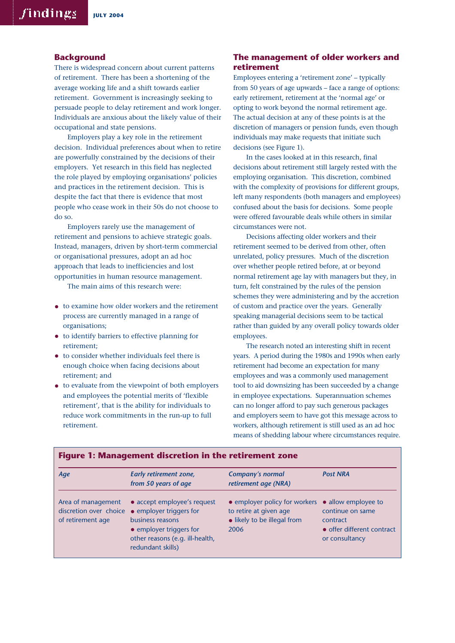#### **Background**

There is widespread concern about current patterns of retirement. There has been a shortening of the average working life and a shift towards earlier retirement. Government is increasingly seeking to persuade people to delay retirement and work longer. Individuals are anxious about the likely value of their occupational and state pensions.

Employers play a key role in the retirement decision. Individual preferences about when to retire are powerfully constrained by the decisions of their employers. Yet research in this field has neglected the role played by employing organisations' policies and practices in the retirement decision. This is despite the fact that there is evidence that most people who cease work in their 50s do not choose to do so.

Employers rarely use the management of retirement and pensions to achieve strategic goals. Instead, managers, driven by short-term commercial or organisational pressures, adopt an ad hoc approach that leads to inefficiencies and lost opportunities in human resource management.

The main aims of this research were:

- to examine how older workers and the retirement process are currently managed in a range of organisations;
- to identify barriers to effective planning for retirement;
- to consider whether individuals feel there is enough choice when facing decisions about retirement; and
- to evaluate from the viewpoint of both employers and employees the potential merits of 'flexible retirement', that is the ability for individuals to reduce work commitments in the run-up to full retirement.

#### **The management of older workers and retirement**

Employees entering a 'retirement zone' – typically from 50 years of age upwards – face a range of options: early retirement, retirement at the 'normal age' or opting to work beyond the normal retirement age. The actual decision at any of these points is at the discretion of managers or pension funds, even though individuals may make requests that initiate such decisions (see Figure 1).

In the cases looked at in this research, final decisions about retirement still largely rested with the employing organisation. This discretion, combined with the complexity of provisions for different groups, left many respondents (both managers and employees) confused about the basis for decisions. Some people were offered favourable deals while others in similar circumstances were not.

Decisions affecting older workers and their retirement seemed to be derived from other, often unrelated, policy pressures. Much of the discretion over whether people retired before, at or beyond normal retirement age lay with managers but they, in turn, felt constrained by the rules of the pension schemes they were administering and by the accretion of custom and practice over the years. Generally speaking managerial decisions seem to be tactical rather than guided by any overall policy towards older employees.

The research noted an interesting shift in recent years. A period during the 1980s and 1990s when early retirement had become an expectation for many employees and was a commonly used management tool to aid downsizing has been succeeded by a change in employee expectations. Superannuation schemes can no longer afford to pay such generous packages and employers seem to have got this message across to workers, although retirement is still used as an ad hoc means of shedding labour where circumstances require.

| Age                                     | Early retirement zone,<br>from 50 years of age                                                                                                                                       | <b>Company's normal</b><br>retirement age (NRA)                                                | <b>Post NRA</b>                                                                                     |
|-----------------------------------------|--------------------------------------------------------------------------------------------------------------------------------------------------------------------------------------|------------------------------------------------------------------------------------------------|-----------------------------------------------------------------------------------------------------|
| Area of management<br>of retirement age | • accept employee's request<br>discretion over choice ● employer triggers for<br>business reasons<br>• employer triggers for<br>other reasons (e.g. ill-health,<br>redundant skills) | • employer policy for workers<br>to retire at given age<br>• likely to be illegal from<br>2006 | • allow employee to<br>continue on same<br>contract<br>• offer different contract<br>or consultancy |

#### **Figure 1: Management discretion in the retirement zone**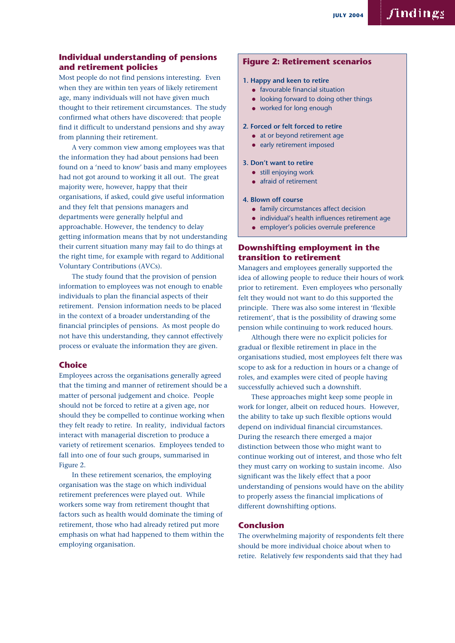# findings

#### **Individual understanding of pensions and retirement policies**

Most people do not find pensions interesting. Even when they are within ten years of likely retirement age, many individuals will not have given much thought to their retirement circumstances. The study confirmed what others have discovered: that people find it difficult to understand pensions and shy away from planning their retirement.

A very common view among employees was that the information they had about pensions had been found on a 'need to know' basis and many employees had not got around to working it all out. The great majority were, however, happy that their organisations, if asked, could give useful information and they felt that pensions managers and departments were generally helpful and approachable. However, the tendency to delay getting information means that by not understanding their current situation many may fail to do things at the right time, for example with regard to Additional Voluntary Contributions (AVCs).

The study found that the provision of pension information to employees was not enough to enable individuals to plan the financial aspects of their retirement. Pension information needs to be placed in the context of a broader understanding of the financial principles of pensions. As most people do not have this understanding, they cannot effectively process or evaluate the information they are given.

#### **Choice**

Employees across the organisations generally agreed that the timing and manner of retirement should be a matter of personal judgement and choice. People should not be forced to retire at a given age, nor should they be compelled to continue working when they felt ready to retire. In reality, individual factors interact with managerial discretion to produce a variety of retirement scenarios. Employees tended to fall into one of four such groups, summarised in Figure 2.

In these retirement scenarios, the employing organisation was the stage on which individual retirement preferences were played out. While workers some way from retirement thought that factors such as health would dominate the timing of retirement, those who had already retired put more emphasis on what had happened to them within the employing organisation.

#### **Figure 2: Retirement scenarios**

#### **1. Happy and keen to retire**

- favourable financial situation
- looking forward to doing other things
- worked for long enough

#### **2. Forced or felt forced to retire**

- at or beyond retirement age
- early retirement imposed

#### **3. Don't want to retire**

- still enjoying work
- afraid of retirement

#### **4. Blown off course**

- family circumstances affect decision
- individual's health influences retirement age
- employer's policies overrule preference

#### **Downshifting employment in the transition to retirement**

Managers and employees generally supported the idea of allowing people to reduce their hours of work prior to retirement. Even employees who personally felt they would not want to do this supported the principle. There was also some interest in 'flexible retirement', that is the possibility of drawing some pension while continuing to work reduced hours.

Although there were no explicit policies for gradual or flexible retirement in place in the organisations studied, most employees felt there was scope to ask for a reduction in hours or a change of roles, and examples were cited of people having successfully achieved such a downshift.

These approaches might keep some people in work for longer, albeit on reduced hours. However, the ability to take up such flexible options would depend on individual financial circumstances. During the research there emerged a major distinction between those who might want to continue working out of interest, and those who felt they must carry on working to sustain income. Also significant was the likely effect that a poor understanding of pensions would have on the ability to properly assess the financial implications of different downshifting options.

#### **Conclusion**

The overwhelming majority of respondents felt there should be more individual choice about when to retire. Relatively few respondents said that they had